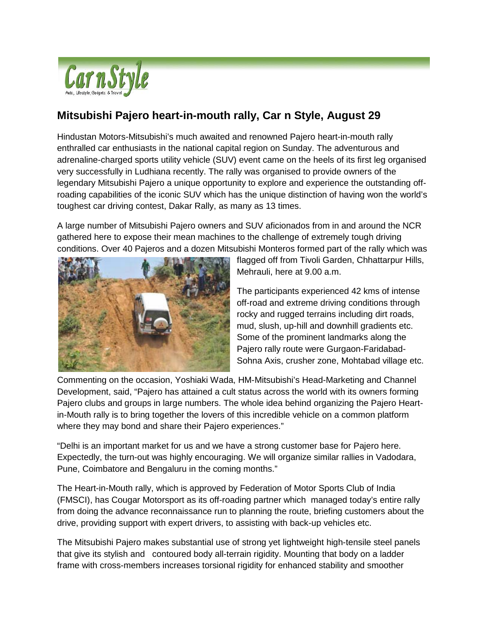

## **Mitsubishi Pajero heart-in-mouth rally, Car n Style, August 29**

Hindustan Motors-Mitsubishi's much awaited and renowned Pajero heart-in-mouth rally enthralled car enthusiasts in the national capital region on Sunday. The adventurous and adrenaline-charged sports utility vehicle (SUV) event came on the heels of its first leg organised very successfully in Ludhiana recently. The rally was organised to provide owners of the legendary Mitsubishi Pajero a unique opportunity to explore and experience the outstanding offroading capabilities of the iconic SUV which has the unique distinction of having won the world's toughest car driving contest, Dakar Rally, as many as 13 times.

A large number of Mitsubishi Pajero owners and SUV aficionados from in and around the NCR gathered here to expose their mean machines to the challenge of extremely tough driving conditions. Over 40 Pajeros and a dozen Mitsubishi Monteros formed part of the rally which was



flagged off from Tivoli Garden, Chhattarpur Hills, Mehrauli, here at 9.00 a.m.

The participants experienced 42 kms of intense off-road and extreme driving conditions through rocky and rugged terrains including dirt roads, mud, slush, up-hill and downhill gradients etc. Some of the prominent landmarks along the Pajero rally route were Gurgaon-Faridabad-Sohna Axis, crusher zone, Mohtabad village etc.

Commenting on the occasion, Yoshiaki Wada, HM-Mitsubishi's Head-Marketing and Channel Development, said, "Pajero has attained a cult status across the world with its owners forming Pajero clubs and groups in large numbers. The whole idea behind organizing the Pajero Heartin-Mouth rally is to bring together the lovers of this incredible vehicle on a common platform where they may bond and share their Pajero experiences."

"Delhi is an important market for us and we have a strong customer base for Pajero here. Expectedly, the turn-out was highly encouraging. We will organize similar rallies in Vadodara, Pune, Coimbatore and Bengaluru in the coming months."

The Heart-in-Mouth rally, which is approved by Federation of Motor Sports Club of India (FMSCI), has Cougar Motorsport as its off-roading partner which managed today's entire rally from doing the advance reconnaissance run to planning the route, briefing customers about the drive, providing support with expert drivers, to assisting with back-up vehicles etc.

The Mitsubishi Pajero makes substantial use of strong yet lightweight high-tensile steel panels that give its stylish and contoured body all-terrain rigidity. Mounting that body on a ladder frame with cross-members increases torsional rigidity for enhanced stability and smoother